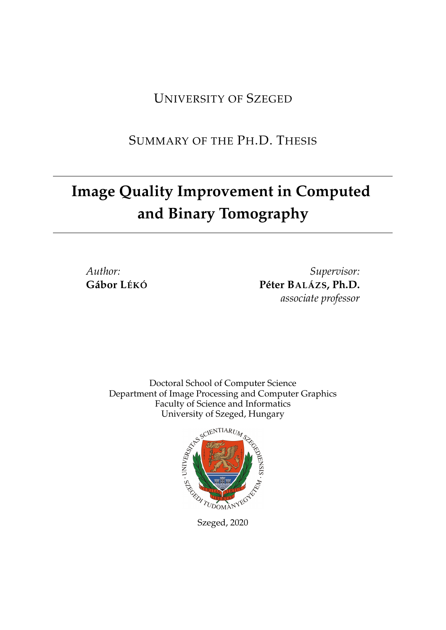UNIVERSITY OF SZEGED

SUMMARY OF THE PH.D. THESIS

# **Image Quality Improvement in Computed and Binary Tomography**

*Author:* **Gábor LÉKÓ**

*Supervisor:* **Péter BALÁZS, Ph.D.** *associate professor*

Doctoral School of Computer Science Department of Image Processing and Computer Graphics Faculty of Science and Informatics University of Szeged, Hungary

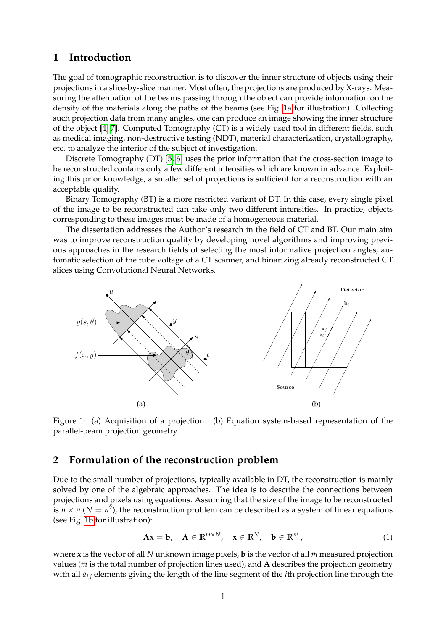# **1 Introduction**

The goal of tomographic reconstruction is to discover the inner structure of objects using their projections in a slice-by-slice manner. Most often, the projections are produced by X-rays. Measuring the attenuation of the beams passing through the object can provide information on the density of the materials along the paths of the beams (see Fig. [1a](#page-2-0) for illustration). Collecting such projection data from many angles, one can produce an image showing the inner structure of the object [\[4,](#page-17-0) [7\]](#page-17-1). Computed Tomography (CT) is a widely used tool in different fields, such as medical imaging, non-destructive testing (NDT), material characterization, crystallography, etc. to analyze the interior of the subject of investigation.

Discrete Tomography (DT) [\[5,](#page-17-2) [6\]](#page-17-3) uses the prior information that the cross-section image to be reconstructed contains only a few different intensities which are known in advance. Exploiting this prior knowledge, a smaller set of projections is sufficient for a reconstruction with an acceptable quality.

Binary Tomography (BT) is a more restricted variant of DT. In this case, every single pixel of the image to be reconstructed can take only two different intensities. In practice, objects corresponding to these images must be made of a homogeneous material.

The dissertation addresses the Author's research in the field of CT and BT. Our main aim was to improve reconstruction quality by developing novel algorithms and improving previous approaches in the research fields of selecting the most informative projection angles, automatic selection of the tube voltage of a CT scanner, and binarizing already reconstructed CT slices using Convolutional Neural Networks.

<span id="page-2-0"></span>

Figure 1: (a) Acquisition of a projection. (b) Equation system-based representation of the parallel-beam projection geometry.

## **2 Formulation of the reconstruction problem**

Due to the small number of projections, typically available in DT, the reconstruction is mainly solved by one of the algebraic approaches. The idea is to describe the connections between projections and pixels using equations. Assuming that the size of the image to be reconstructed is  $n \times n$  ( $N = n^2$ ), the reconstruction problem can be described as a system of linear equations (see Fig. [1b](#page-2-0) for illustration):

<span id="page-2-1"></span>
$$
\mathbf{A}\mathbf{x} = \mathbf{b}, \quad \mathbf{A} \in \mathbb{R}^{m \times N}, \quad \mathbf{x} \in \mathbb{R}^{N}, \quad \mathbf{b} \in \mathbb{R}^{m}, \tag{1}
$$

where **x** is the vector of all *N* unknown image pixels, **b** is the vector of all *m* measured projection values (*m* is the total number of projection lines used), and **A** describes the projection geometry with all *ai*,*<sup>j</sup>* elements giving the length of the line segment of the *i*th projection line through the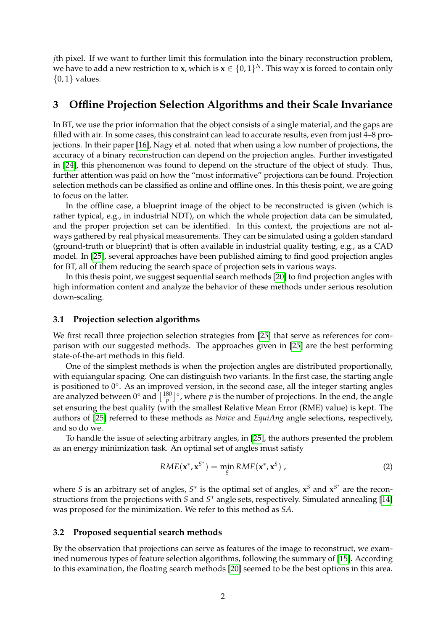*j*th pixel. If we want to further limit this formulation into the binary reconstruction problem, we have to add a new restriction to **x**, which is  $\mathbf{x} \in \{0,1\}^N$ . This way **x** is forced to contain only  $\{0,1\}$  values.

# **3 Offline Projection Selection Algorithms and their Scale Invariance**

In BT, we use the prior information that the object consists of a single material, and the gaps are filled with air. In some cases, this constraint can lead to accurate results, even from just 4–8 projections. In their paper [\[16\]](#page-18-0), Nagy et al. noted that when using a low number of projections, the accuracy of a binary reconstruction can depend on the projection angles. Further investigated in [\[24\]](#page-18-1), this phenomenon was found to depend on the structure of the object of study. Thus, further attention was paid on how the "most informative" projections can be found. Projection selection methods can be classified as online and offline ones. In this thesis point, we are going to focus on the latter.

In the offline case, a blueprint image of the object to be reconstructed is given (which is rather typical, e.g., in industrial NDT), on which the whole projection data can be simulated, and the proper projection set can be identified. In this context, the projections are not always gathered by real physical measurements. They can be simulated using a golden standard (ground-truth or blueprint) that is often available in industrial quality testing, e.g., as a CAD model. In [\[25\]](#page-18-2), several approaches have been published aiming to find good projection angles for BT, all of them reducing the search space of projection sets in various ways.

In this thesis point, we suggest sequential search methods [\[20\]](#page-18-3) to find projection angles with high information content and analyze the behavior of these methods under serious resolution down-scaling.

#### <span id="page-3-1"></span>**3.1 Projection selection algorithms**

We first recall three projection selection strategies from [\[25\]](#page-18-2) that serve as references for comparison with our suggested methods. The approaches given in [\[25\]](#page-18-2) are the best performing state-of-the-art methods in this field.

One of the simplest methods is when the projection angles are distributed proportionally, with equiangular spacing. One can distinguish two variants. In the first case, the starting angle is positioned to 0°. As an improved version, in the second case, all the integer starting angles are analyzed between  $0^{\circ}$  and  $\left[\frac{180}{p}\right]^{\circ}$ , where  $p$  is the number of projections. In the end, the angle set ensuring the best quality (with the smallest Relative Mean Error (RME) value) is kept. The authors of [\[25\]](#page-18-2) referred to these methods as *Naive* and *EquiAng* angle selections, respectively, and so do we.

To handle the issue of selecting arbitrary angles, in [\[25\]](#page-18-2), the authors presented the problem as an energy minimization task. An optimal set of angles must satisfy

$$
RME(\mathbf{x}^*, \mathbf{x}^{S^*}) = \min_{S} RME(\mathbf{x}^*, \mathbf{x}^S),
$$
\n(2)

where *S* is an arbitrary set of angles,  $S^*$  is the optimal set of angles,  $x^S$  and  $x^{S^*}$  are the reconstructions from the projections with *S* and *S* <sup>∗</sup> angle sets, respectively. Simulated annealing [\[14\]](#page-17-4) was proposed for the minimization. We refer to this method as *SA*.

#### <span id="page-3-0"></span>**3.2 Proposed sequential search methods**

By the observation that projections can serve as features of the image to reconstruct, we examined numerous types of feature selection algorithms, following the summary of [\[15\]](#page-18-4). According to this examination, the floating search methods [\[20\]](#page-18-3) seemed to be the best options in this area.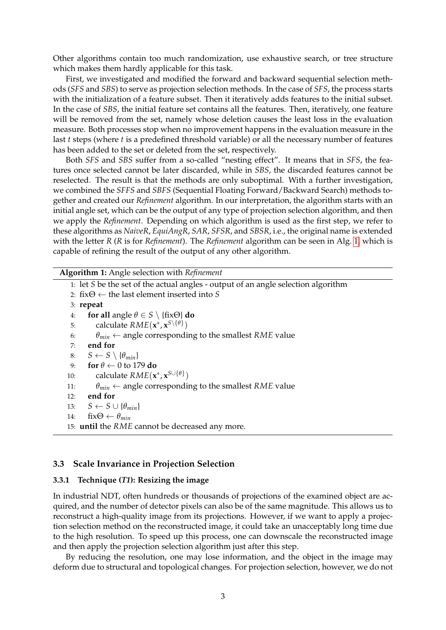Other algorithms contain too much randomization, use exhaustive search, or tree structure which makes them hardly applicable for this task.

First, we investigated and modified the forward and backward sequential selection methods (*SFS* and *SBS*) to serve as projection selection methods. In the case of *SFS*, the process starts with the initialization of a feature subset. Then it iteratively adds features to the initial subset. In the case of *SBS*, the initial feature set contains all the features. Then, iteratively, one feature will be removed from the set, namely whose deletion causes the least loss in the evaluation measure. Both processes stop when no improvement happens in the evaluation measure in the last *t* steps (where *t* is a predefined threshold variable) or all the necessary number of features has been added to the set or deleted from the set, respectively.

Both *SFS* and *SBS* suffer from a so-called "nesting effect". It means that in *SFS*, the features once selected cannot be later discarded, while in *SBS*, the discarded features cannot be reselected. The result is that the methods are only suboptimal. With a further investigation, we combined the *SFFS* and *SBFS* (Sequential Floating Forward/Backward Search) methods together and created our *Refinement* algorithm. In our interpretation, the algorithm starts with an initial angle set, which can be the output of any type of projection selection algorithm, and then we apply the *Refinement*. Depending on which algorithm is used as the first step, we refer to these algorithms as *NaiveR*, *EquiAngR*, *SAR*, *SFSR*, and *SBSR*, i.e., the original name is extended with the letter *R* (*R* is for *Refinement*). The *Refinement* algorithm can be seen in Alg. [1,](#page-4-0) which is capable of refining the result of the output of any other algorithm.

**Algorithm 1:** Angle selection with *Refinement*

<span id="page-4-0"></span>1: let *S* be the set of the actual angles - output of an angle selection algorithm 2: fix $\Theta \leftarrow$  the last element inserted into *S* 3: **repeat** 4: **for all** angle  $\theta \in S \setminus \{fix\Theta\}$  **do** 5: calculate  $RME(\mathbf{x}^*, \mathbf{x}^S \setminus \{\theta\})$ 6:  $\theta_{min} \leftarrow$  angle corresponding to the smallest *RME* value 7: **end for** 8: *S* ← *S*  $\setminus$  { $\theta_{min}$ } 9: **for**  $\theta \leftarrow 0$  to 179 **do** 10: calculate  $RME(\mathbf{x}^*, \mathbf{x}^{S \cup \{\theta\}})$ 11: *θmin* ← angle corresponding to the smallest *RME* value 12: **end for** 13:  $S \leftarrow S \cup \{\theta_{min}\}$ 14:  $fix\Theta \leftarrow \theta_{min}$ 15: **until** the *RME* cannot be decreased any more.

#### **3.3 Scale Invariance in Projection Selection**

#### **3.3.1 Technique (***T1***): Resizing the image**

In industrial NDT, often hundreds or thousands of projections of the examined object are acquired, and the number of detector pixels can also be of the same magnitude. This allows us to reconstruct a high-quality image from its projections. However, if we want to apply a projection selection method on the reconstructed image, it could take an unacceptably long time due to the high resolution. To speed up this process, one can downscale the reconstructed image and then apply the projection selection algorithm just after this step.

By reducing the resolution, one may lose information, and the object in the image may deform due to structural and topological changes. For projection selection, however, we do not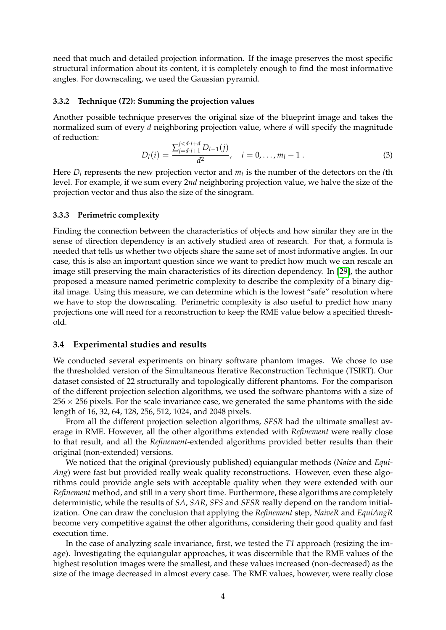need that much and detailed projection information. If the image preserves the most specific structural information about its content, it is completely enough to find the most informative angles. For downscaling, we used the Gaussian pyramid.

#### **3.3.2 Technique (***T2***): Summing the projection values**

Another possible technique preserves the original size of the blueprint image and takes the normalized sum of every *d* neighboring projection value, where *d* will specify the magnitude of reduction:

$$
D_l(i) = \frac{\sum_{j=d \cdot i+1}^{j < d \cdot i+d} D_{l-1}(j)}{d^2}, \quad i = 0, \dots, m_l - 1 \tag{3}
$$

Here *D<sup>l</sup>* represents the new projection vector and *m<sup>l</sup>* is the number of the detectors on the *l*th level. For example, if we sum every 2*nd* neighboring projection value, we halve the size of the projection vector and thus also the size of the sinogram.

#### **3.3.3 Perimetric complexity**

Finding the connection between the characteristics of objects and how similar they are in the sense of direction dependency is an actively studied area of research. For that, a formula is needed that tells us whether two objects share the same set of most informative angles. In our case, this is also an important question since we want to predict how much we can rescale an image still preserving the main characteristics of its direction dependency. In [\[29\]](#page-18-5), the author proposed a measure named perimetric complexity to describe the complexity of a binary digital image. Using this measure, we can determine which is the lowest "safe" resolution where we have to stop the downscaling. Perimetric complexity is also useful to predict how many projections one will need for a reconstruction to keep the RME value below a specified threshold.

#### **3.4 Experimental studies and results**

We conducted several experiments on binary software phantom images. We chose to use the thresholded version of the Simultaneous Iterative Reconstruction Technique (TSIRT). Our dataset consisted of 22 structurally and topologically different phantoms. For the comparison of the different projection selection algorithms, we used the software phantoms with a size of  $256 \times 256$  pixels. For the scale invariance case, we generated the same phantoms with the side length of 16, 32, 64, 128, 256, 512, 1024, and 2048 pixels.

From all the different projection selection algorithms, *SFSR* had the ultimate smallest average in RME. However, all the other algorithms extended with *Refinement* were really close to that result, and all the *Refinement*-extended algorithms provided better results than their original (non-extended) versions.

We noticed that the original (previously published) equiangular methods (*Naive* and *Equi-Ang*) were fast but provided really weak quality reconstructions. However, even these algorithms could provide angle sets with acceptable quality when they were extended with our *Refinement* method, and still in a very short time. Furthermore, these algorithms are completely deterministic, while the results of *SA*, *SAR*, *SFS* and *SFSR* really depend on the random initialization. One can draw the conclusion that applying the *Refinement* step, *NaiveR* and *EquiAngR* become very competitive against the other algorithms, considering their good quality and fast execution time.

In the case of analyzing scale invariance, first, we tested the *T1* approach (resizing the image). Investigating the equiangular approaches, it was discernible that the RME values of the highest resolution images were the smallest, and these values increased (non-decreased) as the size of the image decreased in almost every case. The RME values, however, were really close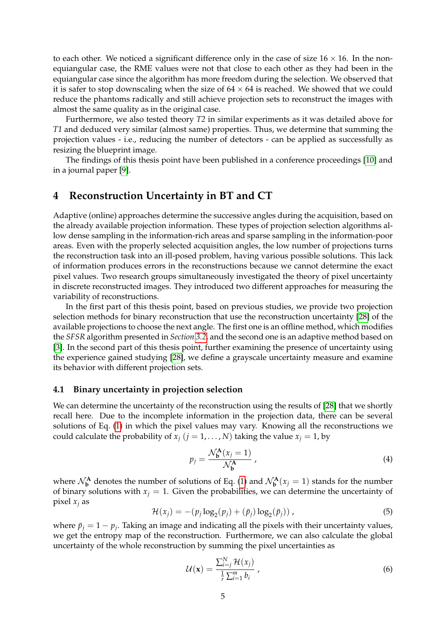to each other. We noticed a significant difference only in the case of size  $16 \times 16$ . In the nonequiangular case, the RME values were not that close to each other as they had been in the equiangular case since the algorithm has more freedom during the selection. We observed that it is safer to stop downscaling when the size of  $64 \times 64$  is reached. We showed that we could reduce the phantoms radically and still achieve projection sets to reconstruct the images with almost the same quality as in the original case.

Furthermore, we also tested theory *T2* in similar experiments as it was detailed above for *T1* and deduced very similar (almost same) properties. Thus, we determine that summing the projection values - i.e., reducing the number of detectors - can be applied as successfully as resizing the blueprint image.

The findings of this thesis point have been published in a conference proceedings [\[10\]](#page-17-5) and in a journal paper [\[9\]](#page-17-6).

# **4 Reconstruction Uncertainty in BT and CT**

Adaptive (online) approaches determine the successive angles during the acquisition, based on the already available projection information. These types of projection selection algorithms allow dense sampling in the information-rich areas and sparse sampling in the information-poor areas. Even with the properly selected acquisition angles, the low number of projections turns the reconstruction task into an ill-posed problem, having various possible solutions. This lack of information produces errors in the reconstructions because we cannot determine the exact pixel values. Two research groups simultaneously investigated the theory of pixel uncertainty in discrete reconstructed images. They introduced two different approaches for measuring the variability of reconstructions.

In the first part of this thesis point, based on previous studies, we provide two projection selection methods for binary reconstruction that use the reconstruction uncertainty [\[28\]](#page-18-6) of the available projections to choose the next angle. The first one is an offline method, which modifies the *SFSR* algorithm presented in *Section [3.2](#page-3-0)*, and the second one is an adaptive method based on [\[3\]](#page-17-7). In the second part of this thesis point, further examining the presence of uncertainty using the experience gained studying [\[28\]](#page-18-6), we define a grayscale uncertainty measure and examine its behavior with different projection sets.

#### **4.1 Binary uncertainty in projection selection**

We can determine the uncertainty of the reconstruction using the results of [\[28\]](#page-18-6) that we shortly recall here. Due to the incomplete information in the projection data, there can be several solutions of Eq. [\(1\)](#page-2-1) in which the pixel values may vary. Knowing all the reconstructions we could calculate the probability of  $x_j$  ( $j = 1, ..., N$ ) taking the value  $x_j = 1$ , by

$$
p_j = \frac{\mathcal{N}_{\mathbf{b}}^{\mathbf{A}}(x_j = 1)}{\mathcal{N}_{\mathbf{b}}^{\mathbf{A}}},\tag{4}
$$

<span id="page-6-1"></span>where  $\mathcal{N}_{\mathbf{b}}^{\mathbf{A}}$  denotes the number of solutions of Eq. [\(1\)](#page-2-1) and  $\mathcal{N}_{\mathbf{b}}^{\mathbf{A}}(x_j = 1)$  stands for the number of binary solutions with  $x_j = 1$ . Given the probabilities, we can determine the uncertainty of pixel  $x_j$  as

$$
\mathcal{H}(x_j) = -(p_j \log_2(p_j) + (\bar{p}_j) \log_2(\bar{p}_j)), \qquad (5)
$$

where  $\bar{p}_j = 1 - p_j$ . Taking an image and indicating all the pixels with their uncertainty values, we get the entropy map of the reconstruction. Furthermore, we can also calculate the global uncertainty of the whole reconstruction by summing the pixel uncertainties as

<span id="page-6-0"></span>
$$
\mathcal{U}(\mathbf{x}) = \frac{\sum_{i=j}^{N} \mathcal{H}(x_j)}{\frac{1}{r} \sum_{i=1}^{m} b_i},
$$
\n(6)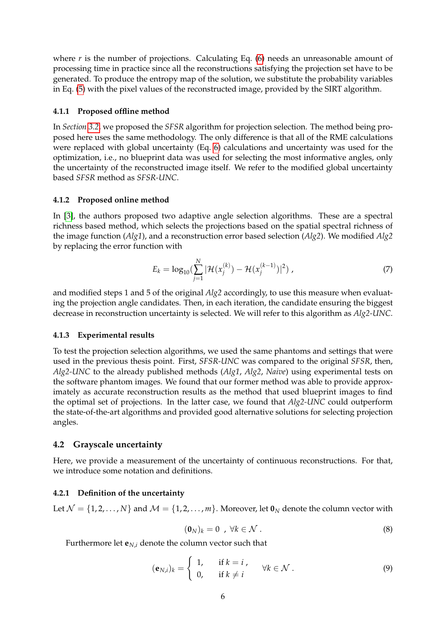where *r* is the number of projections. Calculating Eq. [\(6\)](#page-6-0) needs an unreasonable amount of processing time in practice since all the reconstructions satisfying the projection set have to be generated. To produce the entropy map of the solution, we substitute the probability variables in Eq. [\(5\)](#page-6-1) with the pixel values of the reconstructed image, provided by the SIRT algorithm.

#### **4.1.1 Proposed offline method**

In *Section [3.2](#page-3-0)*, we proposed the *SFSR* algorithm for projection selection. The method being proposed here uses the same methodology. The only difference is that all of the RME calculations were replaced with global uncertainty (Eq. [6\)](#page-6-0) calculations and uncertainty was used for the optimization, i.e., no blueprint data was used for selecting the most informative angles, only the uncertainty of the reconstructed image itself. We refer to the modified global uncertainty based *SFSR* method as *SFSR-UNC*.

#### **4.1.2 Proposed online method**

In [\[3\]](#page-17-7), the authors proposed two adaptive angle selection algorithms. These are a spectral richness based method, which selects the projections based on the spatial spectral richness of the image function (*Alg1*), and a reconstruction error based selection (*Alg2*). We modified *Alg2* by replacing the error function with

$$
E_k = \log_{10} \left( \sum_{j=1}^{N} |\mathcal{H}(x_j^{(k)}) - \mathcal{H}(x_j^{(k-1)})|^2 \right),\tag{7}
$$

and modified steps 1 and 5 of the original *Alg2* accordingly, to use this measure when evaluating the projection angle candidates. Then, in each iteration, the candidate ensuring the biggest decrease in reconstruction uncertainty is selected. We will refer to this algorithm as *Alg2-UNC*.

#### **4.1.3 Experimental results**

To test the projection selection algorithms, we used the same phantoms and settings that were used in the previous thesis point. First, *SFSR-UNC* was compared to the original *SFSR*, then, *Alg2-UNC* to the already published methods (*Alg1*, *Alg2*, *Naive*) using experimental tests on the software phantom images. We found that our former method was able to provide approximately as accurate reconstruction results as the method that used blueprint images to find the optimal set of projections. In the latter case, we found that *Alg2-UNC* could outperform the state-of-the-art algorithms and provided good alternative solutions for selecting projection angles.

#### **4.2 Grayscale uncertainty**

Here, we provide a measurement of the uncertainty of continuous reconstructions. For that, we introduce some notation and definitions.

#### **4.2.1 Definition of the uncertainty**

Let  $\mathcal{N} = \{1, 2, ..., N\}$  and  $\mathcal{M} = \{1, 2, ..., m\}$ . Moreover, let  $\mathbf{0}_N$  denote the column vector with

$$
(\mathbf{0}_N)_k = 0 \quad , \ \forall k \in \mathcal{N} \ . \tag{8}
$$

Furthermore let  $\mathbf{e}_{N,i}$  denote the column vector such that

$$
(\mathbf{e}_{N,i})_k = \begin{cases} 1, & \text{if } k = i \\ 0, & \text{if } k \neq i \end{cases} \quad \forall k \in \mathcal{N} \, . \tag{9}
$$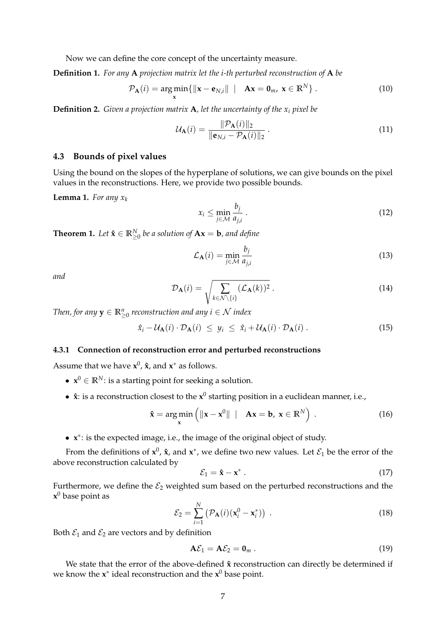Now we can define the core concept of the uncertainty measure.

**Definition 1.** *For any* **A** *projection matrix let the i-th perturbed reconstruction of* **A** *be*

$$
\mathcal{P}_{\mathbf{A}}(i) = \underset{\mathbf{x}}{\arg\min} \{ \|\mathbf{x} - \mathbf{e}_{N,i}\| \mid \mathbf{A}\mathbf{x} = \mathbf{0}_m, \mathbf{x} \in \mathbb{R}^N \}.
$$
 (10)

**Definition 2.** *Given a projection matrix* **A***, let the uncertainty of the x<sup>i</sup> pixel be*

$$
\mathcal{U}_{\mathbf{A}}(i) = \frac{\|\mathcal{P}_{\mathbf{A}}(i)\|_{2}}{\|\mathbf{e}_{N,i} - \mathcal{P}_{\mathbf{A}}(i)\|_{2}}.
$$
\n(11)

#### **4.3 Bounds of pixel values**

Using the bound on the slopes of the hyperplane of solutions, we can give bounds on the pixel values in the reconstructions. Here, we provide two possible bounds.

<span id="page-8-0"></span>**Lemma 1.** *For any*  $x_k$ 

$$
x_i \le \min_{j \in \mathcal{M}} \frac{b_j}{a_{j,i}} \,. \tag{12}
$$

<span id="page-8-1"></span>**Theorem 1.** Let  $\hat{\mathbf{x}} \in \mathbb{R}_{\geq 0}^N$  be a solution of  $A\mathbf{x} = \mathbf{b}$ , and define

$$
\mathcal{L}_{\mathbf{A}}(i) = \min_{j \in \mathcal{M}} \frac{b_j}{a_{j,i}} \tag{13}
$$

*and*

$$
\mathcal{D}_{\mathbf{A}}(i) = \sqrt{\sum_{k \in \mathcal{N} \setminus \{i\}} (\mathcal{L}_{\mathbf{A}}(k))^2} \ . \tag{14}
$$

Then, for any  $\mathbf{y} \in \mathbb{R}_{\geq 0}^n$  reconstruction and any  $i \in \mathcal{N}$  index

$$
\hat{x}_i - \mathcal{U}_{\mathbf{A}}(i) \cdot \mathcal{D}_{\mathbf{A}}(i) \leq y_i \leq \hat{x}_i + \mathcal{U}_{\mathbf{A}}(i) \cdot \mathcal{D}_{\mathbf{A}}(i) \,. \tag{15}
$$

#### **4.3.1 Connection of reconstruction error and perturbed reconstructions**

Assume that we have  $x^0$ ,  $\hat{x}$ , and  $x^*$  as follows.

- $\mathbf{x}^0 \in \mathbb{R}^N$ : is a starting point for seeking a solution.
- $\hat{x}$ : is a reconstruction closest to the  $x^0$  starting position in a euclidean manner, i.e.,

$$
\hat{\mathbf{x}} = \underset{\mathbf{x}}{\arg \min} \left( \|\mathbf{x} - \mathbf{x}^0\| \ | \ \mathbf{Ax} = \mathbf{b}, \ \mathbf{x} \in \mathbb{R}^N \right) \,. \tag{16}
$$

• **x** ∗ : is the expected image, i.e., the image of the original object of study.

From the definitions of  $x^0$ ,  $\hat{x}$ , and  $x^*$ , we define two new values. Let  $\mathcal{E}_1$  be the error of the above reconstruction calculated by

<span id="page-8-2"></span>
$$
\mathcal{E}_1 = \hat{\mathbf{x}} - \mathbf{x}^* \,. \tag{17}
$$

<span id="page-8-3"></span>Furthermore, we define the  $\mathcal{E}_2$  weighted sum based on the perturbed reconstructions and the **x** <sup>0</sup> base point as

$$
\mathcal{E}_2 = \sum_{i=1}^N \left( \mathcal{P}_A(i) (\mathbf{x}_i^0 - \mathbf{x}_i^*) \right) \,. \tag{18}
$$

Both  $\mathcal{E}_1$  and  $\mathcal{E}_2$  are vectors and by definition

$$
\mathbf{A}\mathcal{E}_1 = \mathbf{A}\mathcal{E}_2 = \mathbf{0}_m \,. \tag{19}
$$

We state that the error of the above-defined  $\hat{x}$  reconstruction can directly be determined if we know the **x** ∗ ideal reconstruction and the **x** <sup>0</sup> base point.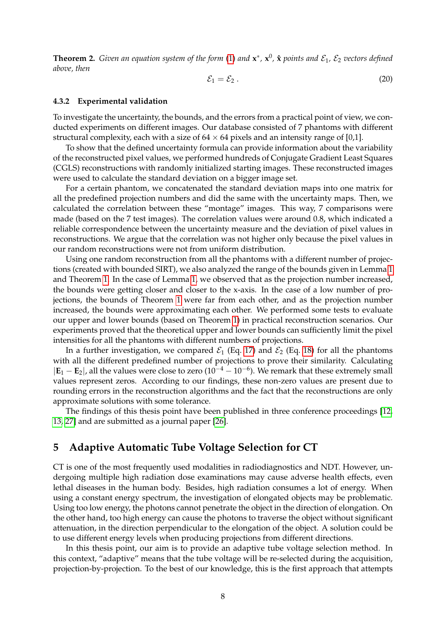**Theorem 2.** *Given an equation system of the form* [\(1\)](#page-2-1) *and*  $\mathbf{x}^*$ ,  $\mathbf{x}^0$ ,  $\hat{\mathbf{x}}$  *points and*  $\mathcal{E}_1$ ,  $\mathcal{E}_2$  *vectors defined above, then*

$$
\mathcal{E}_1 = \mathcal{E}_2 \,. \tag{20}
$$

#### **4.3.2 Experimental validation**

To investigate the uncertainty, the bounds, and the errors from a practical point of view, we conducted experiments on different images. Our database consisted of 7 phantoms with different structural complexity, each with a size of  $64 \times 64$  pixels and an intensity range of [0,1].

To show that the defined uncertainty formula can provide information about the variability of the reconstructed pixel values, we performed hundreds of Conjugate Gradient Least Squares (CGLS) reconstructions with randomly initialized starting images. These reconstructed images were used to calculate the standard deviation on a bigger image set.

For a certain phantom, we concatenated the standard deviation maps into one matrix for all the predefined projection numbers and did the same with the uncertainty maps. Then, we calculated the correlation between these "montage" images. This way, 7 comparisons were made (based on the 7 test images). The correlation values were around 0.8, which indicated a reliable correspondence between the uncertainty measure and the deviation of pixel values in reconstructions. We argue that the correlation was not higher only because the pixel values in our random reconstructions were not from uniform distribution.

Using one random reconstruction from all the phantoms with a different number of projections (created with bounded SIRT), we also analyzed the range of the bounds given in Lemma [1](#page-8-0) and Theorem [1.](#page-8-1) In the case of Lemma [1,](#page-8-0) we observed that as the projection number increased, the bounds were getting closer and closer to the x-axis. In the case of a low number of projections, the bounds of Theorem [1](#page-8-1) were far from each other, and as the projection number increased, the bounds were approximating each other. We performed some tests to evaluate our upper and lower bounds (based on Theorem [1\)](#page-8-1) in practical reconstruction scenarios. Our experiments proved that the theoretical upper and lower bounds can sufficiently limit the pixel intensities for all the phantoms with different numbers of projections.

In a further investigation, we compared  $\mathcal{E}_1$  (Eq. [17\)](#page-8-2) and  $\mathcal{E}_2$  (Eq. [18\)](#page-8-3) for all the phantoms with all the different predefined number of projections to prove their similarity. Calculating  $|\mathbf{E}_1 - \mathbf{E}_2|$ , all the values were close to zero  $(10^{-4} - 10^{-6})$ . We remark that these extremely small values represent zeros. According to our findings, these non-zero values are present due to rounding errors in the reconstruction algorithms and the fact that the reconstructions are only approximate solutions with some tolerance.

The findings of this thesis point have been published in three conference proceedings [\[12,](#page-17-8) [13,](#page-17-9) [27\]](#page-18-7) and are submitted as a journal paper [\[26\]](#page-18-8).

### **5 Adaptive Automatic Tube Voltage Selection for CT**

CT is one of the most frequently used modalities in radiodiagnostics and NDT. However, undergoing multiple high radiation dose examinations may cause adverse health effects, even lethal diseases in the human body. Besides, high radiation consumes a lot of energy. When using a constant energy spectrum, the investigation of elongated objects may be problematic. Using too low energy, the photons cannot penetrate the object in the direction of elongation. On the other hand, too high energy can cause the photons to traverse the object without significant attenuation, in the direction perpendicular to the elongation of the object. A solution could be to use different energy levels when producing projections from different directions.

In this thesis point, our aim is to provide an adaptive tube voltage selection method. In this context, "adaptive" means that the tube voltage will be re-selected during the acquisition, projection-by-projection. To the best of our knowledge, this is the first approach that attempts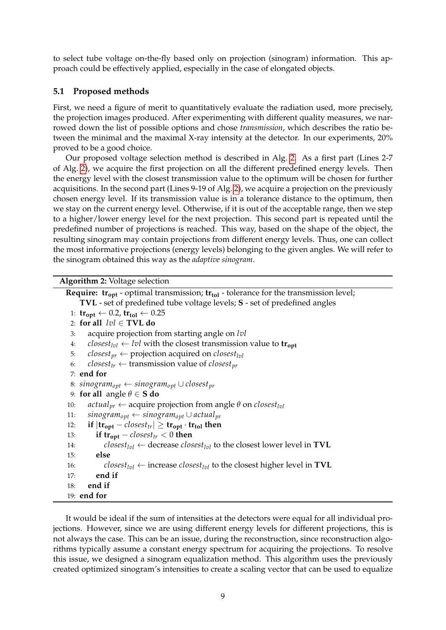to select tube voltage on-the-fly based only on projection (sinogram) information. This approach could be effectively applied, especially in the case of elongated objects.

## **5.1 Proposed methods**

First, we need a figure of merit to quantitatively evaluate the radiation used, more precisely, the projection images produced. After experimenting with different quality measures, we narrowed down the list of possible options and chose *transmission*, which describes the ratio between the minimal and the maximal X-ray intensity at the detector. In our experiments, 20% proved to be a good choice.

Our proposed voltage selection method is described in Alg. [2.](#page-10-0) As a first part (Lines 2-7 of Alg. [2\)](#page-10-0), we acquire the first projection on all the different predefined energy levels. Then the energy level with the closest transmission value to the optimum will be chosen for further acquisitions. In the second part (Lines 9-19 of Alg. [2\)](#page-10-0), we acquire a projection on the previously chosen energy level. If its transmission value is in a tolerance distance to the optimum, then we stay on the current energy level. Otherwise, if it is out of the acceptable range, then we step to a higher/lower energy level for the next projection. This second part is repeated until the predefined number of projections is reached. This way, based on the shape of the object, the resulting sinogram may contain projections from different energy levels. Thus, one can collect the most informative projections (energy levels) belonging to the given angles. We will refer to the sinogram obtained this way as the *adaptive sinogram*.

```
Algorithm 2: Voltage selection
```

| <b>Require:</b> $tr_{opt}$ - optimal transmission; $tr_{tol}$ - tolerance for the transmission level;                           |
|---------------------------------------------------------------------------------------------------------------------------------|
| TVL - set of predefined tube voltage levels; S - set of predefined angles                                                       |
| 1: $\text{tr}_{\text{opt}} \leftarrow 0.2, \text{tr}_{\text{tol}} \leftarrow 0.25$                                              |
| 2: for all $\text{vol} \in \text{TVL}$ do                                                                                       |
| acquire projection from starting angle on lvl<br>3:                                                                             |
| <i>closest</i> <sub>lvl</sub> $\leftarrow$ <i>lvl</i> with the closest transmission value to <b>tr</b> <sub>opt</sub><br>4:     |
| <i>closest</i> <sub>pr</sub> $\leftarrow$ projection acquired on <i>closest</i> <sub>lvl</sub><br>5:                            |
| <i>closest<sub>tr</sub></i> $\leftarrow$ transmission value of <i>closest<sub>pr</sub></i><br>6:                                |
| $7:$ end for                                                                                                                    |
| 8: $\sin\omega_{\text{gr}}$ + $\sin\omega_{\text{gr}}$ U closest <sub>pr</sub>                                                  |
| 9: for all angle $\theta \in S$ do                                                                                              |
| <i>actual</i> <sub>pr</sub> $\leftarrow$ acquire projection from angle $\theta$ on <i>closest</i> <sub>lvl</sub><br>10:         |
| $sinogram_{opt} \leftarrow sinogram_{opt} \cup actual_{pr}$<br>11:                                                              |
| if $ \mathbf{tr}_{\mathbf{opt}} - closest_{tr}  \geq \mathbf{tr}_{\mathbf{opt}} \cdot \mathbf{tr}_{\mathbf{tol}}$ then<br>12:   |
| if $tr_{opt} - closest_{tr} < 0$ then<br>13:                                                                                    |
| $closest_{[v]} \leftarrow$ decrease <i>closest</i> <sub><math>[vv]</math></sub> to the closest lower level in <b>TVL</b><br>14: |
| else<br>15:                                                                                                                     |
| $closest_{lvl} \leftarrow$ increase <i>closest</i> <sub>lvl</sub> to the closest higher level in <b>TVL</b><br>16:              |
| end if<br>17:                                                                                                                   |
| end if<br>18:                                                                                                                   |
| $19:$ end for                                                                                                                   |

<span id="page-10-0"></span>It would be ideal if the sum of intensities at the detectors were equal for all individual projections. However, since we are using different energy levels for different projections, this is not always the case. This can be an issue, during the reconstruction, since reconstruction algorithms typically assume a constant energy spectrum for acquiring the projections. To resolve this issue, we designed a sinogram equalization method. This algorithm uses the previously created optimized sinogram's intensities to create a scaling vector that can be used to equalize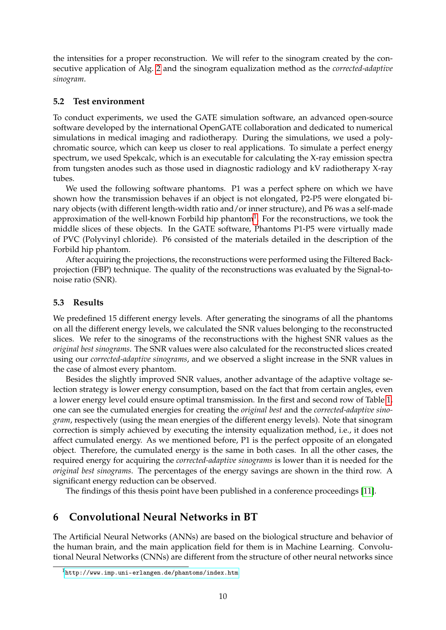the intensities for a proper reconstruction. We will refer to the sinogram created by the consecutive application of Alg. [2](#page-10-0) and the sinogram equalization method as the *corrected-adaptive sinogram*.

#### **5.2 Test environment**

To conduct experiments, we used the GATE simulation software, an advanced open-source software developed by the international OpenGATE collaboration and dedicated to numerical simulations in medical imaging and radiotherapy. During the simulations, we used a polychromatic source, which can keep us closer to real applications. To simulate a perfect energy spectrum, we used Spekcalc, which is an executable for calculating the X-ray emission spectra from tungsten anodes such as those used in diagnostic radiology and kV radiotherapy X-ray tubes.

We used the following software phantoms. P1 was a perfect sphere on which we have shown how the transmission behaves if an object is not elongated, P2-P5 were elongated binary objects (with different length-width ratio and/or inner structure), and P6 was a self-made approximation of the well-known Forbild hip phantom<sup>[1](#page-11-0)</sup>. For the reconstructions, we took the middle slices of these objects. In the GATE software, Phantoms P1-P5 were virtually made of PVC (Polyvinyl chloride). P6 consisted of the materials detailed in the description of the Forbild hip phantom.

After acquiring the projections, the reconstructions were performed using the Filtered Backprojection (FBP) technique. The quality of the reconstructions was evaluated by the Signal-tonoise ratio (SNR).

#### **5.3 Results**

We predefined 15 different energy levels. After generating the sinograms of all the phantoms on all the different energy levels, we calculated the SNR values belonging to the reconstructed slices. We refer to the sinograms of the reconstructions with the highest SNR values as the *original best sinograms*. The SNR values were also calculated for the reconstructed slices created using our *corrected-adaptive sinograms*, and we observed a slight increase in the SNR values in the case of almost every phantom.

Besides the slightly improved SNR values, another advantage of the adaptive voltage selection strategy is lower energy consumption, based on the fact that from certain angles, even a lower energy level could ensure optimal transmission. In the first and second row of Table [1,](#page-12-0) one can see the cumulated energies for creating the *original best* and the *corrected-adaptive sinogram*, respectively (using the mean energies of the different energy levels). Note that sinogram correction is simply achieved by executing the intensity equalization method, i.e., it does not affect cumulated energy. As we mentioned before, P1 is the perfect opposite of an elongated object. Therefore, the cumulated energy is the same in both cases. In all the other cases, the required energy for acquiring the *corrected-adaptive sinograms* is lower than it is needed for the *original best sinograms*. The percentages of the energy savings are shown in the third row. A significant energy reduction can be observed.

The findings of this thesis point have been published in a conference proceedings [\[11\]](#page-17-10).

# **6 Convolutional Neural Networks in BT**

The Artificial Neural Networks (ANNs) are based on the biological structure and behavior of the human brain, and the main application field for them is in Machine Learning. Convolutional Neural Networks (CNNs) are different from the structure of other neural networks since

<span id="page-11-0"></span><sup>1</sup><http://www.imp.uni-erlangen.de/phantoms/index.htm>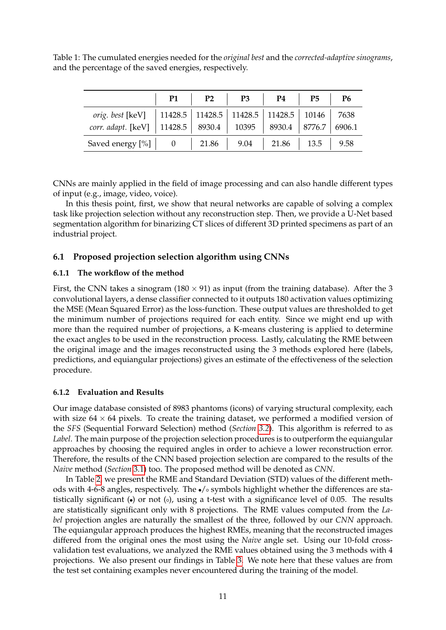<span id="page-12-0"></span>Table 1: The cumulated energies needed for the *original best* and the *corrected-adaptive sinograms*, and the percentage of the saved energies, respectively.

|                                                                                | <b>P1</b>                                           | P2 | P3 | P4                                 | P <sub>5</sub> | P <sub>6</sub> |
|--------------------------------------------------------------------------------|-----------------------------------------------------|----|----|------------------------------------|----------------|----------------|
| <i>orig. best</i> [keV]   11428.5   11428.5   11428.5   11428.5   10146   7638 |                                                     |    |    |                                    |                |                |
| corr. adapt. [keV]                                                             | 11428.5   8930.4   10395   8930.4   8776.7   6906.1 |    |    |                                    |                |                |
| Saved energy $[\%]$   0                                                        |                                                     |    |    | 21.86   9.04   21.86   13.5   9.58 |                |                |

CNNs are mainly applied in the field of image processing and can also handle different types of input (e.g., image, video, voice).

In this thesis point, first, we show that neural networks are capable of solving a complex task like projection selection without any reconstruction step. Then, we provide a U-Net based segmentation algorithm for binarizing CT slices of different 3D printed specimens as part of an industrial project.

## **6.1 Proposed projection selection algorithm using CNNs**

#### **6.1.1 The workflow of the method**

First, the CNN takes a sinogram ( $180 \times 91$ ) as input (from the training database). After the 3 convolutional layers, a dense classifier connected to it outputs 180 activation values optimizing the MSE (Mean Squared Error) as the loss-function. These output values are thresholded to get the minimum number of projections required for each entity. Since we might end up with more than the required number of projections, a K-means clustering is applied to determine the exact angles to be used in the reconstruction process. Lastly, calculating the RME between the original image and the images reconstructed using the 3 methods explored here (labels, predictions, and equiangular projections) gives an estimate of the effectiveness of the selection procedure.

### **6.1.2 Evaluation and Results**

Our image database consisted of 8983 phantoms (icons) of varying structural complexity, each with size  $64 \times 64$  pixels. To create the training dataset, we performed a modified version of the *SFS* (Sequential Forward Selection) method (*Section [3.2](#page-3-0)*). This algorithm is referred to as *Label*. The main purpose of the projection selection procedures is to outperform the equiangular approaches by choosing the required angles in order to achieve a lower reconstruction error. Therefore, the results of the CNN based projection selection are compared to the results of the *Naive* method (*Section* [3.1\)](#page-3-1) too. The proposed method will be denoted as *CNN*.

In Table [2,](#page-13-0) we present the RME and Standard Deviation (STD) values of the different methods with 4-6-8 angles, respectively. The  $\bullet$ / $\circ$  symbols highlight whether the differences are statistically significant  $\left(\bullet\right)$  or not  $\left(\circ\right)$ , using a t-test with a significance level of 0.05. The results are statistically significant only with 8 projections. The RME values computed from the *Label* projection angles are naturally the smallest of the three, followed by our *CNN* approach. The equiangular approach produces the highest RMEs, meaning that the reconstructed images differed from the original ones the most using the *Naive* angle set. Using our 10-fold crossvalidation test evaluations, we analyzed the RME values obtained using the 3 methods with 4 projections. We also present our findings in Table [3.](#page-13-1) We note here that these values are from the test set containing examples never encountered during the training of the model.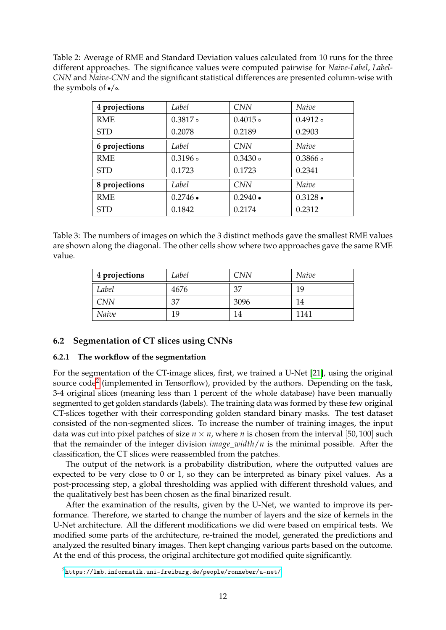<span id="page-13-0"></span>Table 2: Average of RME and Standard Deviation values calculated from 10 runs for the three different approaches. The significance values were computed pairwise for *Naive-Label*, *Label-CNN* and *Naive-CNN* and the significant statistical differences are presented column-wise with the symbols of  $\bullet$ / $\circ$ .

| 4 projections | Label            | <b>CNN</b>       | Naive          |
|---------------|------------------|------------------|----------------|
| <b>RME</b>    | $0.3817 \circ$   | $0.4015 \circ$   | $0.4912 \circ$ |
| <b>STD</b>    | 0.2078           | 0.2189           | 0.2903         |
| 6 projections | Label            | <b>CNN</b>       | Naive          |
| <b>RME</b>    | $0.3196 \circ$   | $0.3430 \circ$   | $0.3866 \circ$ |
| <b>STD</b>    | 0.1723           | 0.1723           | 0.2341         |
| 8 projections | Label            | <b>CNN</b>       | Naive          |
| <b>RME</b>    | $0.2746 \bullet$ | $0.2940 \bullet$ | $0.3128 -$     |
| <b>STD</b>    | 0.1842           | 0.2174           | 0.2312         |

<span id="page-13-1"></span>Table 3: The numbers of images on which the 3 distinct methods gave the smallest RME values are shown along the diagonal. The other cells show where two approaches gave the same RME value.

| 4 projections | Label | CNN  | Naive |
|---------------|-------|------|-------|
| Label         | 4676  | 37   | 19    |
| <b>CNN</b>    | 37    | 3096 | 14    |
| Naive         | 19    | ۱4   | 1141  |

### **6.2 Segmentation of CT slices using CNNs**

#### **6.2.1 The workflow of the segmentation**

For the segmentation of the CT-image slices, first, we trained a U-Net [\[21\]](#page-18-9), using the original source code<sup>[2](#page-13-2)</sup> (implemented in Tensorflow), provided by the authors. Depending on the task, 3-4 original slices (meaning less than 1 percent of the whole database) have been manually segmented to get golden standards (labels). The training data was formed by these few original CT-slices together with their corresponding golden standard binary masks. The test dataset consisted of the non-segmented slices. To increase the number of training images, the input data was cut into pixel patches of size  $n \times n$ , where *n* is chosen from the interval [50, 100] such that the remainder of the integer division *image*\_*width*/*n* is the minimal possible. After the classification, the CT slices were reassembled from the patches.

The output of the network is a probability distribution, where the outputted values are expected to be very close to 0 or 1, so they can be interpreted as binary pixel values. As a post-processing step, a global thresholding was applied with different threshold values, and the qualitatively best has been chosen as the final binarized result.

After the examination of the results, given by the U-Net, we wanted to improve its performance. Therefore, we started to change the number of layers and the size of kernels in the U-Net architecture. All the different modifications we did were based on empirical tests. We modified some parts of the architecture, re-trained the model, generated the predictions and analyzed the resulted binary images. Then kept changing various parts based on the outcome. At the end of this process, the original architecture got modified quite significantly.

<span id="page-13-2"></span><sup>2</sup><https://lmb.informatik.uni-freiburg.de/people/ronneber/u-net/>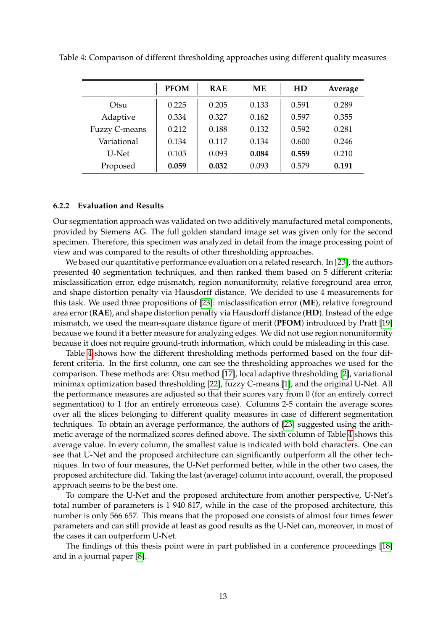|               | <b>PFOM</b> | <b>RAE</b> | ME    | HD    | Average |
|---------------|-------------|------------|-------|-------|---------|
| Otsu          | 0.225       | 0.205      | 0.133 | 0.591 | 0.289   |
| Adaptive      | 0.334       | 0.327      | 0.162 | 0.597 | 0.355   |
| Fuzzy C-means | 0.212       | 0.188      | 0.132 | 0.592 | 0.281   |
| Variational   | 0.134       | 0.117      | 0.134 | 0.600 | 0.246   |
| U-Net         | 0.105       | 0.093      | 0.084 | 0.559 | 0.210   |
| Proposed      | 0.059       | 0.032      | 0.093 | 0.579 | 0.191   |

<span id="page-14-0"></span>Table 4: Comparison of different thresholding approaches using different quality measures

#### **6.2.2 Evaluation and Results**

Our segmentation approach was validated on two additively manufactured metal components, provided by Siemens AG. The full golden standard image set was given only for the second specimen. Therefore, this specimen was analyzed in detail from the image processing point of view and was compared to the results of other thresholding approaches.

We based our quantitative performance evaluation on a related research. In [\[23\]](#page-18-10), the authors presented 40 segmentation techniques, and then ranked them based on 5 different criteria: misclassification error, edge mismatch, region nonuniformity, relative foreground area error, and shape distortion penalty via Hausdorff distance. We decided to use 4 measurements for this task. We used three propositions of [\[23\]](#page-18-10): misclassification error (**ME**), relative foreground area error (**RAE**), and shape distortion penalty via Hausdorff distance (**HD**). Instead of the edge mismatch, we used the mean-square distance figure of merit (**PFOM**) introduced by Pratt [\[19\]](#page-18-11) because we found it a better measure for analyzing edges. We did not use region nonuniformity because it does not require ground-truth information, which could be misleading in this case.

Table [4](#page-14-0) shows how the different thresholding methods performed based on the four different criteria. In the first column, one can see the thresholding approaches we used for the comparison. These methods are: Otsu method [\[17\]](#page-18-12), local adaptive thresholding [\[2\]](#page-17-11), variational minimax optimization based thresholding [\[22\]](#page-18-13), fuzzy C-means [\[1\]](#page-17-12), and the original U-Net. All the performance measures are adjusted so that their scores vary from 0 (for an entirely correct segmentation) to 1 (for an entirely erroneous case). Columns 2-5 contain the average scores over all the slices belonging to different quality measures in case of different segmentation techniques. To obtain an average performance, the authors of [\[23\]](#page-18-10) suggested using the arithmetic average of the normalized scores defined above. The sixth column of Table [4](#page-14-0) shows this average value. In every column, the smallest value is indicated with bold characters. One can see that U-Net and the proposed architecture can significantly outperform all the other techniques. In two of four measures, the U-Net performed better, while in the other two cases, the proposed architecture did. Taking the last (average) column into account, overall, the proposed approach seems to be the best one.

To compare the U-Net and the proposed architecture from another perspective, U-Net's total number of parameters is 1 940 817, while in the case of the proposed architecture, this number is only 566 657. This means that the proposed one consists of almost four times fewer parameters and can still provide at least as good results as the U-Net can, moreover, in most of the cases it can outperform U-Net.

The findings of this thesis point were in part published in a conference proceedings [\[18\]](#page-18-14) and in a journal paper [\[8\]](#page-17-13).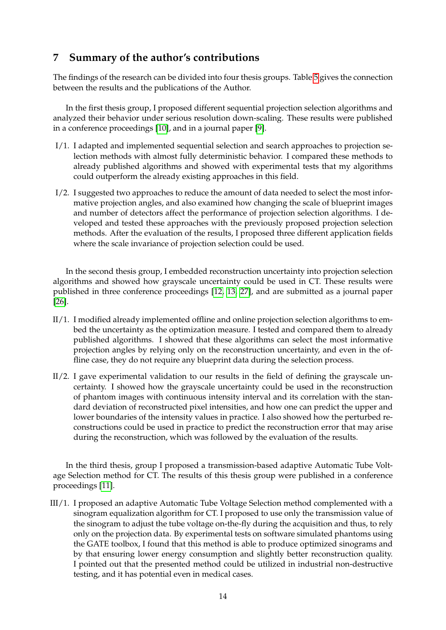# **7 Summary of the author's contributions**

The findings of the research can be divided into four thesis groups. Table [5](#page-16-0) gives the connection between the results and the publications of the Author.

In the first thesis group, I proposed different sequential projection selection algorithms and analyzed their behavior under serious resolution down-scaling. These results were published in a conference proceedings [\[10\]](#page-17-5), and in a journal paper [\[9\]](#page-17-6).

- I/1. I adapted and implemented sequential selection and search approaches to projection selection methods with almost fully deterministic behavior. I compared these methods to already published algorithms and showed with experimental tests that my algorithms could outperform the already existing approaches in this field.
- I/2. I suggested two approaches to reduce the amount of data needed to select the most informative projection angles, and also examined how changing the scale of blueprint images and number of detectors affect the performance of projection selection algorithms. I developed and tested these approaches with the previously proposed projection selection methods. After the evaluation of the results, I proposed three different application fields where the scale invariance of projection selection could be used.

In the second thesis group, I embedded reconstruction uncertainty into projection selection algorithms and showed how grayscale uncertainty could be used in CT. These results were published in three conference proceedings [\[12,](#page-17-8) [13,](#page-17-9) [27\]](#page-18-7), and are submitted as a journal paper [\[26\]](#page-18-8).

- II/1. I modified already implemented offline and online projection selection algorithms to embed the uncertainty as the optimization measure. I tested and compared them to already published algorithms. I showed that these algorithms can select the most informative projection angles by relying only on the reconstruction uncertainty, and even in the offline case, they do not require any blueprint data during the selection process.
- II/2. I gave experimental validation to our results in the field of defining the grayscale uncertainty. I showed how the grayscale uncertainty could be used in the reconstruction of phantom images with continuous intensity interval and its correlation with the standard deviation of reconstructed pixel intensities, and how one can predict the upper and lower boundaries of the intensity values in practice. I also showed how the perturbed reconstructions could be used in practice to predict the reconstruction error that may arise during the reconstruction, which was followed by the evaluation of the results.

In the third thesis, group I proposed a transmission-based adaptive Automatic Tube Voltage Selection method for CT. The results of this thesis group were published in a conference proceedings [\[11\]](#page-17-10).

III/1. I proposed an adaptive Automatic Tube Voltage Selection method complemented with a sinogram equalization algorithm for CT. I proposed to use only the transmission value of the sinogram to adjust the tube voltage on-the-fly during the acquisition and thus, to rely only on the projection data. By experimental tests on software simulated phantoms using the GATE toolbox, I found that this method is able to produce optimized sinograms and by that ensuring lower energy consumption and slightly better reconstruction quality. I pointed out that the presented method could be utilized in industrial non-destructive testing, and it has potential even in medical cases.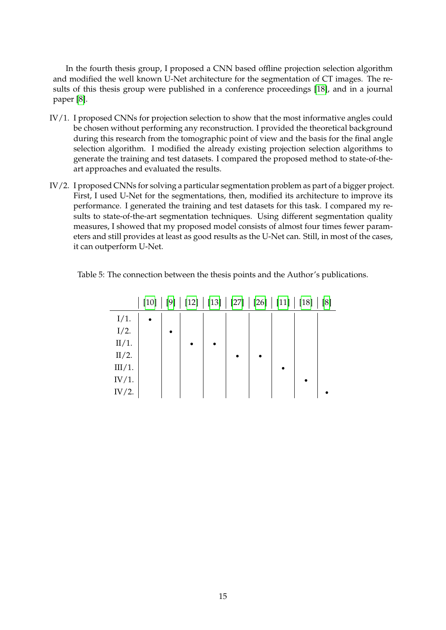In the fourth thesis group, I proposed a CNN based offline projection selection algorithm and modified the well known U-Net architecture for the segmentation of CT images. The results of this thesis group were published in a conference proceedings [\[18\]](#page-18-14), and in a journal paper [\[8\]](#page-17-13).

- IV/1. I proposed CNNs for projection selection to show that the most informative angles could be chosen without performing any reconstruction. I provided the theoretical background during this research from the tomographic point of view and the basis for the final angle selection algorithm. I modified the already existing projection selection algorithms to generate the training and test datasets. I compared the proposed method to state-of-theart approaches and evaluated the results.
- IV/2. I proposed CNNs for solving a particular segmentation problem as part of a bigger project. First, I used U-Net for the segmentations, then, modified its architecture to improve its performance. I generated the training and test datasets for this task. I compared my results to state-of-the-art segmentation techniques. Using different segmentation quality measures, I showed that my proposed model consists of almost four times fewer parameters and still provides at least as good results as the U-Net can. Still, in most of the cases, it can outperform U-Net.

|          | $[10]$    | $[9]$ |  | $[12]   [13]   [27]   [26]   [11]   [18]$ |  | $[8]$ |
|----------|-----------|-------|--|-------------------------------------------|--|-------|
| $I/1$ .  | $\bullet$ |       |  |                                           |  |       |
| $I/2$ .  |           |       |  |                                           |  |       |
| II/1.    |           |       |  |                                           |  |       |
| $II/2$ . |           |       |  |                                           |  |       |
| III/1.   |           |       |  |                                           |  |       |
| IV/1.    |           |       |  |                                           |  |       |
| IV/2.    |           |       |  |                                           |  |       |

<span id="page-16-0"></span>Table 5: The connection between the thesis points and the Author's publications.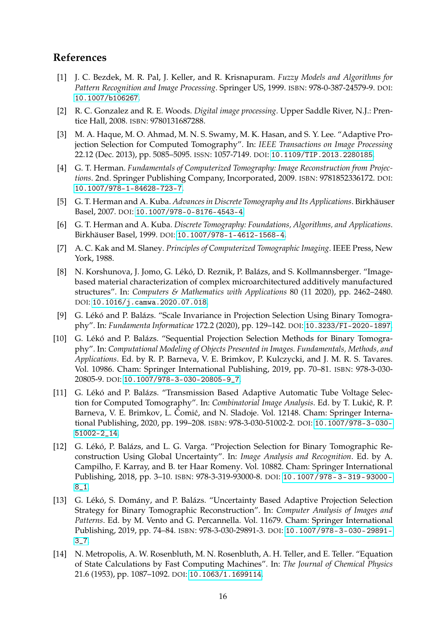# **References**

- <span id="page-17-12"></span>[1] J. C. Bezdek, M. R. Pal, J. Keller, and R. Krisnapuram. *Fuzzy Models and Algorithms for Pattern Recognition and Image Processing*. Springer US, 1999. ISBN: 978-0-387-24579-9. DOI: [10.1007/b106267](https://doi.org/10.1007/b106267).
- <span id="page-17-11"></span>[2] R. C. Gonzalez and R. E. Woods. *Digital image processing*. Upper Saddle River, N.J.: Prentice Hall, 2008. ISBN: 9780131687288.
- <span id="page-17-7"></span>[3] M. A. Haque, M. O. Ahmad, M. N. S. Swamy, M. K. Hasan, and S. Y. Lee. "Adaptive Projection Selection for Computed Tomography". In: *IEEE Transactions on Image Processing* 22.12 (Dec. 2013), pp. 5085–5095. ISSN: 1057-7149. DOI: [10.1109/TIP.2013.2280185](https://doi.org/10.1109/TIP.2013.2280185).
- <span id="page-17-0"></span>[4] G. T. Herman. *Fundamentals of Computerized Tomography: Image Reconstruction from Projections*. 2nd. Springer Publishing Company, Incorporated, 2009. ISBN: 9781852336172. DOI: [10.1007/978-1-84628-723-7](https://doi.org/10.1007/978-1-84628-723-7).
- <span id="page-17-2"></span>[5] G. T. Herman and A. Kuba. *Advances in Discrete Tomography and Its Applications*. Birkhäuser Basel, 2007. DOI: [10.1007/978-0-8176-4543-4](https://doi.org/10.1007/978-0-8176-4543-4).
- <span id="page-17-3"></span>[6] G. T. Herman and A. Kuba. *Discrete Tomography: Foundations, Algorithms, and Applications*. Birkhäuser Basel, 1999. DOI: [10.1007/978-1-4612-1568-4](https://doi.org/10.1007/978-1-4612-1568-4).
- <span id="page-17-1"></span>[7] A. C. Kak and M. Slaney. *Principles of Computerized Tomographic Imaging*. IEEE Press, New York, 1988.
- <span id="page-17-13"></span>[8] N. Korshunova, J. Jomo, G. Lékó, D. Reznik, P. Balázs, and S. Kollmannsberger. "Imagebased material characterization of complex microarchitectured additively manufactured structures". In: *Computers & Mathematics with Applications* 80 (11 2020), pp. 2462–2480. DOI: [10.1016/j.camwa.2020.07.018](https://doi.org/10.1016/j.camwa.2020.07.018).
- <span id="page-17-6"></span>[9] G. Lékó and P. Balázs. "Scale Invariance in Projection Selection Using Binary Tomography". In: *Fundamenta Informaticae* 172.2 (2020), pp. 129–142. DOI: [10.3233/FI-2020-1897](https://doi.org/10.3233/FI-2020-1897).
- <span id="page-17-5"></span>[10] G. Lékó and P. Balázs. "Sequential Projection Selection Methods for Binary Tomography". In: *Computational Modeling of Objects Presented in Images. Fundamentals, Methods, and Applications*. Ed. by R. P. Barneva, V. E. Brimkov, P. Kulczycki, and J. M. R. S. Tavares. Vol. 10986. Cham: Springer International Publishing, 2019, pp. 70–81. ISBN: 978-3-030- 20805-9. DOI: [10.1007/978-3-030-20805-9\\_7](https://doi.org/10.1007/978-3-030-20805-9_7).
- <span id="page-17-10"></span>[11] G. Lékó and P. Balázs. "Transmission Based Adaptive Automatic Tube Voltage Selection for Computed Tomography". In: *Combinatorial Image Analysis*. Ed. by T. Lukić, R. P. Barneva, V. E. Brimkov, L. Čomić, and N. Sladoje. Vol. 12148. Cham: Springer International Publishing, 2020, pp. 199–208. ISBN: 978-3-030-51002-2. DOI: [10.1007/978-3-030-](https://doi.org/10.1007/978-3-030-51002-2_14) [51002-2\\_14](https://doi.org/10.1007/978-3-030-51002-2_14).
- <span id="page-17-8"></span>[12] G. Lékó, P. Balázs, and L. G. Varga. "Projection Selection for Binary Tomographic Reconstruction Using Global Uncertainty". In: *Image Analysis and Recognition*. Ed. by A. Campilho, F. Karray, and B. ter Haar Romeny. Vol. 10882. Cham: Springer International Publishing, 2018, pp. 3–10. ISBN: 978-3-319-93000-8. DOI: [10.1007/978- 3- 319- 93000-](https://doi.org/10.1007/978-3-319-93000-8_1) [8\\_1](https://doi.org/10.1007/978-3-319-93000-8_1).
- <span id="page-17-9"></span>[13] G. Lékó, S. Domány, and P. Balázs. "Uncertainty Based Adaptive Projection Selection Strategy for Binary Tomographic Reconstruction". In: *Computer Analysis of Images and Patterns*. Ed. by M. Vento and G. Percannella. Vol. 11679. Cham: Springer International Publishing, 2019, pp. 74–84. ISBN: 978-3-030-29891-3. DOI: [10.1007/978-3-030-29891-](https://doi.org/10.1007/978-3-030-29891-3_7) [3\\_7](https://doi.org/10.1007/978-3-030-29891-3_7).
- <span id="page-17-4"></span>[14] N. Metropolis, A. W. Rosenbluth, M. N. Rosenbluth, A. H. Teller, and E. Teller. "Equation of State Calculations by Fast Computing Machines". In: *The Journal of Chemical Physics* 21.6 (1953), pp. 1087–1092. DOI: [10.1063/1.1699114](https://doi.org/10.1063/1.1699114).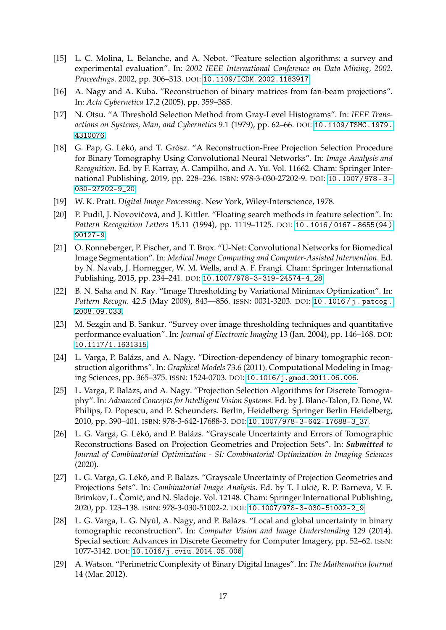- <span id="page-18-4"></span>[15] L. C. Molina, L. Belanche, and A. Nebot. "Feature selection algorithms: a survey and experimental evaluation". In: *2002 IEEE International Conference on Data Mining, 2002. Proceedings*. 2002, pp. 306–313. DOI: [10.1109/ICDM.2002.1183917](https://doi.org/10.1109/ICDM.2002.1183917).
- <span id="page-18-0"></span>[16] A. Nagy and A. Kuba. "Reconstruction of binary matrices from fan-beam projections". In: *Acta Cybernetica* 17.2 (2005), pp. 359–385.
- <span id="page-18-12"></span>[17] N. Otsu. "A Threshold Selection Method from Gray-Level Histograms". In: *IEEE Transactions on Systems, Man, and Cybernetics* 9.1 (1979), pp. 62–66. DOI: [10.1109/TSMC.1979.](https://doi.org/10.1109/TSMC.1979.4310076) [4310076](https://doi.org/10.1109/TSMC.1979.4310076).
- <span id="page-18-14"></span>[18] G. Pap, G. Lékó, and T. Grósz. "A Reconstruction-Free Projection Selection Procedure for Binary Tomography Using Convolutional Neural Networks". In: *Image Analysis and Recognition*. Ed. by F. Karray, A. Campilho, and A. Yu. Vol. 11662. Cham: Springer International Publishing, 2019, pp. 228–236. ISBN: 978-3-030-27202-9. DOI: [10.1007/978- 3-](https://doi.org/10.1007/978-3-030-27202-9_20) [030-27202-9\\_20](https://doi.org/10.1007/978-3-030-27202-9_20).
- <span id="page-18-11"></span>[19] W. K. Pratt. *Digital Image Processing*. New York, Wiley-Interscience, 1978.
- <span id="page-18-3"></span>[20] P. Pudil, J. Novovičová, and J. Kittler. "Floating search methods in feature selection". In: *Pattern Recognition Letters* 15.11 (1994), pp. 1119–1125. DOI: [10 . 1016 / 0167 - 8655\(94 \)](https://doi.org/10.1016/0167-8655(94)90127-9) [90127-9](https://doi.org/10.1016/0167-8655(94)90127-9).
- <span id="page-18-9"></span>[21] O. Ronneberger, P. Fischer, and T. Brox. "U-Net: Convolutional Networks for Biomedical Image Segmentation". In: *Medical Image Computing and Computer-Assisted Intervention*. Ed. by N. Navab, J. Hornegger, W. M. Wells, and A. F. Frangi. Cham: Springer International Publishing, 2015, pp. 234–241. DOI: [10.1007/978-3-319-24574-4\\_28](https://doi.org/10.1007/978-3-319-24574-4_28).
- <span id="page-18-13"></span>[22] B. N. Saha and N. Ray. "Image Thresholding by Variational Minimax Optimization". In: *Pattern Recogn.* 42.5 (May 2009), 843––856. ISSN: 0031-3203. DOI: [10 . 1016 / j . patcog .](https://doi.org/10.1016/j.patcog.2008.09.033) [2008.09.033](https://doi.org/10.1016/j.patcog.2008.09.033).
- <span id="page-18-10"></span>[23] M. Sezgin and B. Sankur. "Survey over image thresholding techniques and quantitative performance evaluation". In: *Journal of Electronic Imaging* 13 (Jan. 2004), pp. 146–168. DOI: [10.1117/1.1631315](https://doi.org/10.1117/1.1631315).
- <span id="page-18-1"></span>[24] L. Varga, P. Balázs, and A. Nagy. "Direction-dependency of binary tomographic reconstruction algorithms". In: *Graphical Models* 73.6 (2011). Computational Modeling in Imaging Sciences, pp. 365–375. ISSN: 1524-0703. DOI: [10.1016/j.gmod.2011.06.006](https://doi.org/10.1016/j.gmod.2011.06.006).
- <span id="page-18-2"></span>[25] L. Varga, P. Balázs, and A. Nagy. "Projection Selection Algorithms for Discrete Tomography". In: *Advanced Concepts for Intelligent Vision Systems*. Ed. by J. Blanc-Talon, D. Bone, W. Philips, D. Popescu, and P. Scheunders. Berlin, Heidelberg: Springer Berlin Heidelberg, 2010, pp. 390–401. ISBN: 978-3-642-17688-3. DOI: [10.1007/978-3-642-17688-3\\_37](https://doi.org/10.1007/978-3-642-17688-3_37).
- <span id="page-18-8"></span>[26] L. G. Varga, G. Lékó, and P. Balázs. "Grayscale Uncertainty and Errors of Tomographic Reconstructions Based on Projection Geometries and Projection Sets". In: *Submitted to Journal of Combinatorial Optimization - SI: Combinatorial Optimization in Imaging Sciences* (2020).
- <span id="page-18-7"></span>[27] L. G. Varga, G. Lékó, and P. Balázs. "Grayscale Uncertainty of Projection Geometries and Projections Sets". In: *Combinatorial Image Analysis*. Ed. by T. Lukić, R. P. Barneva, V. E. Brimkov, L. Čomić, and N. Sladoje. Vol. 12148. Cham: Springer International Publishing, 2020, pp. 123–138. ISBN: 978-3-030-51002-2. DOI: [10.1007/978-3-030-51002-2\\_9](https://doi.org/10.1007/978-3-030-51002-2_9).
- <span id="page-18-6"></span>[28] L. G. Varga, L. G. Nyúl, A. Nagy, and P. Balázs. "Local and global uncertainty in binary tomographic reconstruction". In: *Computer Vision and Image Understanding* 129 (2014). Special section: Advances in Discrete Geometry for Computer Imagery, pp. 52–62. ISSN: 1077-3142. DOI: [10.1016/j.cviu.2014.05.006](https://doi.org/10.1016/j.cviu.2014.05.006).
- <span id="page-18-5"></span>[29] A. Watson. "Perimetric Complexity of Binary Digital Images". In: *The Mathematica Journal* 14 (Mar. 2012).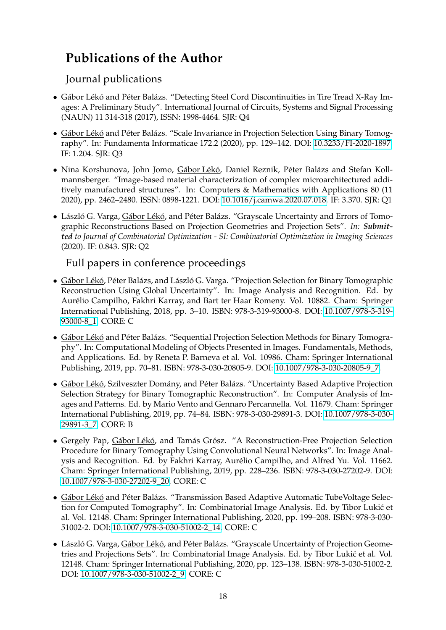# **Publications of the Author**

# Journal publications

- Gábor Lékó and Péter Balázs. "Detecting Steel Cord Discontinuities in Tire Tread X-Ray Images: A Preliminary Study". International Journal of Circuits, Systems and Signal Processing (NAUN) 11 314-318 (2017), ISSN: 1998-4464. SJR: Q4
- Gábor Lékó and Péter Balázs. "Scale Invariance in Projection Selection Using Binary Tomography". In: Fundamenta Informaticae 172.2 (2020), pp. 129–142. DOI: [10.3233/FI-2020-1897.](https://doi.org/10.3233/FI-2020-1897) IF: 1.204. SJR: Q3
- Nina Korshunova, John Jomo, Gábor Lékó, Daniel Reznik, Péter Balázs and Stefan Kollmannsberger. "Image-based material characterization of complex microarchitectured additively manufactured structures". In: Computers & Mathematics with Applications 80 (11 2020), pp. 2462–2480. ISSN: 0898-1221. DOI: [10.1016/j.camwa.2020.07.018.](https://doi.org/10.1016/j.camwa.2020.07.018) IF: 3.370. SJR: Q1
- László G. Varga, Gábor Lékó, and Péter Balázs. "Grayscale Uncertainty and Errors of Tomographic Reconstructions Based on Projection Geometries and Projection Sets". *In: Submitted to Journal of Combinatorial Optimization - SI: Combinatorial Optimization in Imaging Sciences* (2020). IF: 0.843. SJR: Q2

# Full papers in conference proceedings

- Gábor Lékó, Péter Balázs, and László G. Varga. "Projection Selection for Binary Tomographic Reconstruction Using Global Uncertainty". In: Image Analysis and Recognition. Ed. by Aurélio Campilho, Fakhri Karray, and Bart ter Haar Romeny. Vol. 10882. Cham: Springer International Publishing, 2018, pp. 3–10. ISBN: 978-3-319-93000-8. DOI: [10.1007/978-3-319-](https://doi.org/10.1007/978-3-319-93000-8_1) [93000-8\\_1.](https://doi.org/10.1007/978-3-319-93000-8_1) CORE: C
- Gábor Lékó and Péter Balázs. "Sequential Projection Selection Methods for Binary Tomography". In: Computational Modeling of Objects Presented in Images. Fundamentals, Methods, and Applications. Ed. by Reneta P. Barneva et al. Vol. 10986. Cham: Springer International Publishing, 2019, pp. 70–81. ISBN: 978-3-030-20805-9. DOI: [10.1007/978-3-030-20805-9\\_7.](https://doi.org/10.1007/978-3-030-20805-9_7)
- Gábor Lékó, Szilveszter Domány, and Péter Balázs. "Uncertainty Based Adaptive Projection Selection Strategy for Binary Tomographic Reconstruction". In: Computer Analysis of Images and Patterns. Ed. by Mario Vento and Gennaro Percannella. Vol. 11679. Cham: Springer International Publishing, 2019, pp. 74–84. ISBN: 978-3-030-29891-3. DOI: [10.1007/978-3-030-](https://doi.org/10.1007/978-3-030-29891-3_7) [29891-3\\_7.](https://doi.org/10.1007/978-3-030-29891-3_7) CORE: B
- Gergely Pap, Gábor Lékó, and Tamás Grósz. "A Reconstruction-Free Projection Selection Procedure for Binary Tomography Using Convolutional Neural Networks". In: Image Analysis and Recognition. Ed. by Fakhri Karray, Aurélio Campilho, and Alfred Yu. Vol. 11662. Cham: Springer International Publishing, 2019, pp. 228–236. ISBN: 978-3-030-27202-9. DOI: [10.1007/978-3-030-27202-9\\_20.](https://doi.org/10.1007/978-3-030-27202-9_20) CORE: C
- Gábor Lékó and Péter Balázs. "Transmission Based Adaptive Automatic TubeVoltage Selection for Computed Tomography". In: Combinatorial Image Analysis. Ed. by Tibor Lukić et al. Vol. 12148. Cham: Springer International Publishing, 2020, pp. 199–208. ISBN: 978-3-030- 51002-2. DOI: [10.1007/978-3-030-51002-2\\_14.](https://doi.org/10.1007/978-3-030-51002-2_14) CORE: C
- László G. Varga, Gábor Lékó, and Péter Balázs. "Grayscale Uncertainty of Projection Geometries and Projections Sets". In: Combinatorial Image Analysis. Ed. by Tibor Lukić et al. Vol. 12148. Cham: Springer International Publishing, 2020, pp. 123–138. ISBN: 978-3-030-51002-2. DOI: [10.1007/978-3-030-51002-2\\_9.](https://doi.org/10.1007/978-3-030-51002-2_9) CORE: C